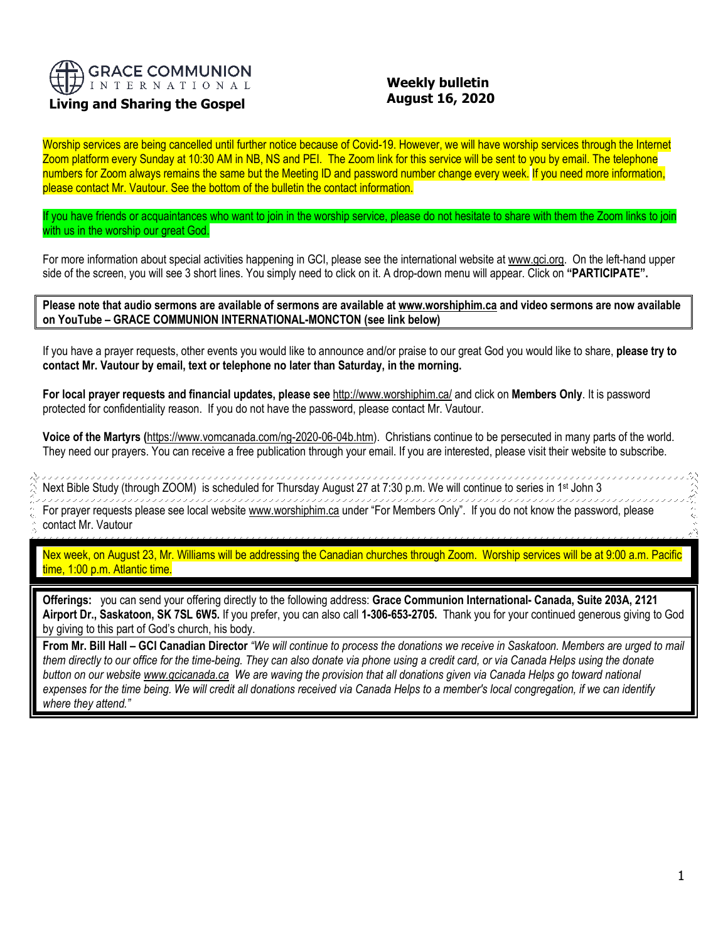

# **Living and Sharing the Gospel**

## **Weekly bulletin August 16, 2020**

Worship services are being cancelled until further notice because of Covid-19. However, we will have worship services through the Internet Zoom platform every Sunday at 10:30 AM in NB, NS and PEI. The Zoom link for this service will be sent to you by email. The telephone numbers for Zoom always remains the same but the Meeting ID and password number change every week. If you need more information, please contact Mr. Vautour. See the bottom of the bulletin the contact information.

If you have friends or acquaintances who want to join in the worship service, please do not hesitate to share with them the Zoom links to join with us in the worship our great God.

For more information about special activities happening in GCI, please see the international website a[t www.gci.org.](http://www.gci.org/) On the left-hand upper side of the screen, you will see 3 short lines. You simply need to click on it. A drop-down menu will appear. Click on **"PARTICIPATE".** 

**Please note that audio sermons are available of sermons are available at [www.worshiphim.ca](http://www.worshiphim.ca/) and video sermons are now available on YouTube – GRACE COMMUNION INTERNATIONAL-MONCTON (see link below)**

If you have a prayer requests, other events you would like to announce and/or praise to our great God you would like to share, **please try to contact Mr. Vautour by email, text or telephone no later than Saturday, in the morning.**

**For local prayer requests and financial updates, please see** <http://www.worshiphim.ca/> and click on **Members Only**. It is password protected for confidentiality reason. If you do not have the password, please contact Mr. Vautour.

**Voice of the Martyrs (**[https://www.vomcanada.com/ng-2020-06-04b.htm\)](https://www.vomcanada.com/ng-2020-06-04b.htm). Christians continue to be persecuted in many parts of the world. They need our prayers. You can receive a free publication through your email. If you are interested, please visit their website to subscribe.

,,,,,,,,,,,,,,, 19999 Next Bible Study (through ZOOM) is scheduled for Thursday August 27 at 7:30 p.m. We will continue to series in 1st John 3 

For prayer requests please see local website [www.worshiphim.ca](http://www.worshiphim.ca/) under "For Members Only". If you do not know the password, please contact Mr. Vautour

Nex week, on August 23, Mr. Williams will be addressing the Canadian churches through Zoom. Worship services will be at 9:00 a.m. Pacific time, 1:00 p.m. Atlantic time.

**Offerings:** you can send your offering directly to the following address: **Grace Communion International- Canada, Suite 203A, 2121 Airport Dr., Saskatoon, SK 7SL 6W5.** If you prefer, you can also call **1-306-653-2705.** Thank you for your continued generous giving to God by giving to this part of God's church, his body.

**From Mr. Bill Hall – GCI Canadian Director** *"We will continue to process the donations we receive in Saskatoon. Members are urged to mail them directly to our office for the time-being. They can also donate via phone using a credit card, or via Canada Helps using the donate button on our websit[e www.gcicanada.ca](https://eur03.safelinks.protection.outlook.com/?url=http%3A%2F%2Fwww.gcicanada.ca%2F&data=02%7C01%7C%7C9fd93e29c2b44509e5a008d7caa78fdb%7C84df9e7fe9f640afb435aaaaaaaaaaaa%7C1%7C0%7C637200693331983394&sdata=VAGy4Q%2BxbhHuYaeEiDz%2FQyicT%2FoiY4Ir9kc8w5yHRPs%3D&reserved=0) We are waving the provision that all donations given via Canada Helps go toward national expenses for the time being. We will credit all donations received via Canada Helps to a member's local congregation, if we can identify where they attend."*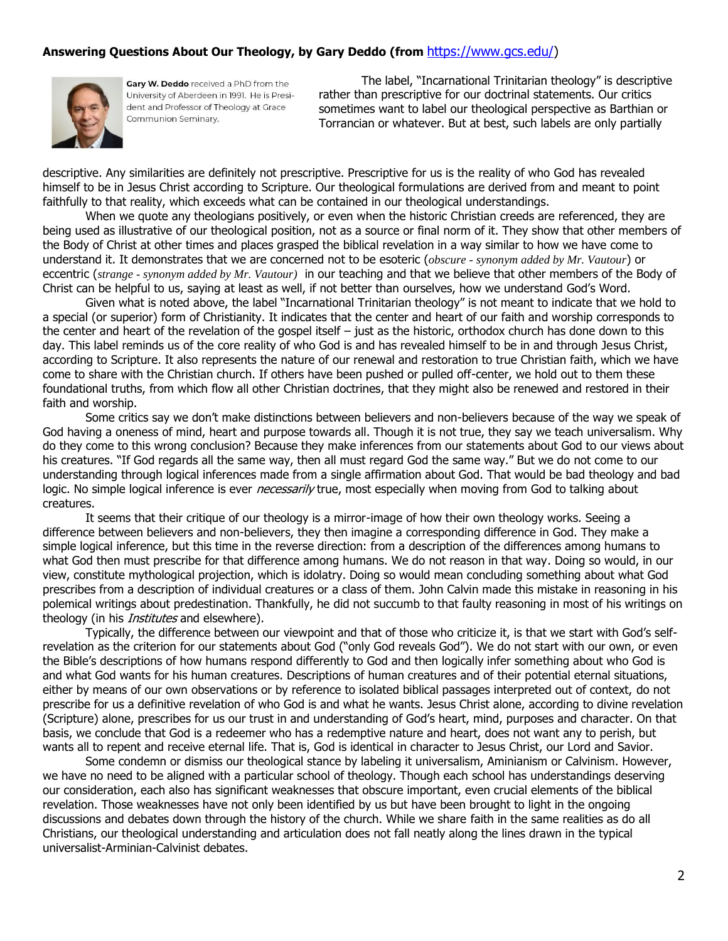### **Answering Questions About Our Theology, by Gary Deddo (from** [https://www.gcs.edu/\)](https://www.gcs.edu/)



Gary W. Deddo received a PhD from the University of Aberdeen in 1991. He is President and Professor of Theology at Grace Communion Seminary.

The label, "Incarnational Trinitarian theology" is descriptive rather than prescriptive for our doctrinal statements. Our critics sometimes want to label our theological perspective as Barthian or Torrancian or whatever. But at best, such labels are only partially

descriptive. Any similarities are definitely not prescriptive. Prescriptive for us is the reality of who God has revealed himself to be in Jesus Christ according to Scripture. Our theological formulations are derived from and meant to point faithfully to that reality, which exceeds what can be contained in our theological understandings.

When we quote any theologians positively, or even when the historic Christian creeds are referenced, they are being used as illustrative of our theological position, not as a source or final norm of it. They show that other members of the Body of Christ at other times and places grasped the biblical revelation in a way similar to how we have come to understand it. It demonstrates that we are concerned not to be esoteric (*obscure - synonym added by Mr. Vautour*) or eccentric (*strange - synonym added by Mr. Vautour)* in our teaching and that we believe that other members of the Body of Christ can be helpful to us, saying at least as well, if not better than ourselves, how we understand God's Word.

Given what is noted above, the label "Incarnational Trinitarian theology" is not meant to indicate that we hold to a special (or superior) form of Christianity. It indicates that the center and heart of our faith and worship corresponds to the center and heart of the revelation of the gospel itself – just as the historic, orthodox church has done down to this day. This label reminds us of the core reality of who God is and has revealed himself to be in and through Jesus Christ, according to Scripture. It also represents the nature of our renewal and restoration to true Christian faith, which we have come to share with the Christian church. If others have been pushed or pulled off-center, we hold out to them these foundational truths, from which flow all other Christian doctrines, that they might also be renewed and restored in their faith and worship.

Some critics say we don't make distinctions between believers and non-believers because of the way we speak of God having a oneness of mind, heart and purpose towards all. Though it is not true, they say we teach universalism. Why do they come to this wrong conclusion? Because they make inferences from our statements about God to our views about his creatures. "If God regards all the same way, then all must regard God the same way." But we do not come to our understanding through logical inferences made from a single affirmation about God. That would be bad theology and bad logic. No simple logical inference is ever *necessarily* true, most especially when moving from God to talking about creatures.

It seems that their critique of our theology is a mirror-image of how their own theology works. Seeing a difference between believers and non-believers, they then imagine a corresponding difference in God. They make a simple logical inference, but this time in the reverse direction: from a description of the differences among humans to what God then must prescribe for that difference among humans. We do not reason in that way. Doing so would, in our view, constitute mythological projection, which is idolatry. Doing so would mean concluding something about what God prescribes from a description of individual creatures or a class of them. John Calvin made this mistake in reasoning in his polemical writings about predestination. Thankfully, he did not succumb to that faulty reasoning in most of his writings on theology (in his *Institutes* and elsewhere).

Typically, the difference between our viewpoint and that of those who criticize it, is that we start with God's selfrevelation as the criterion for our statements about God ("only God reveals God"). We do not start with our own, or even the Bible's descriptions of how humans respond differently to God and then logically infer something about who God is and what God wants for his human creatures. Descriptions of human creatures and of their potential eternal situations, either by means of our own observations or by reference to isolated biblical passages interpreted out of context, do not prescribe for us a definitive revelation of who God is and what he wants. Jesus Christ alone, according to divine revelation (Scripture) alone, prescribes for us our trust in and understanding of God's heart, mind, purposes and character. On that basis, we conclude that God is a redeemer who has a redemptive nature and heart, does not want any to perish, but wants all to repent and receive eternal life. That is, God is identical in character to Jesus Christ, our Lord and Savior.

Some condemn or dismiss our theological stance by labeling it universalism, Aminianism or Calvinism. However, we have no need to be aligned with a particular school of theology. Though each school has understandings deserving our consideration, each also has significant weaknesses that obscure important, even crucial elements of the biblical revelation. Those weaknesses have not only been identified by us but have been brought to light in the ongoing discussions and debates down through the history of the church. While we share faith in the same realities as do all Christians, our theological understanding and articulation does not fall neatly along the lines drawn in the typical universalist-Arminian-Calvinist debates.